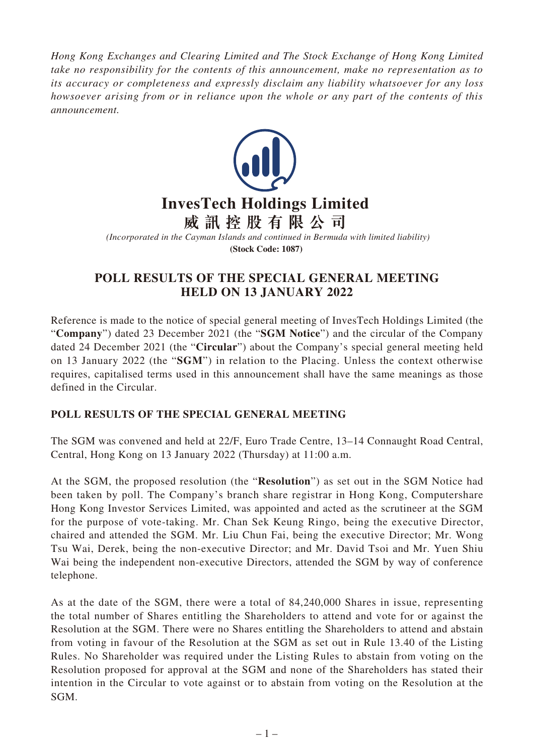*Hong Kong Exchanges and Clearing Limited and The Stock Exchange of Hong Kong Limited take no responsibility for the contents of this announcement, make no representation as to its accuracy or completeness and expressly disclaim any liability whatsoever for any loss howsoever arising from or in reliance upon the whole or any part of the contents of this announcement.*



## **POLL RESULTS OF THE SPECIAL GENERAL MEETING HELD ON 13 JANUARY 2022**

Reference is made to the notice of special general meeting of InvesTech Holdings Limited (the "**Company**") dated 23 December 2021 (the "**SGM Notice**") and the circular of the Company dated 24 December 2021 (the "**Circular**") about the Company's special general meeting held on 13 January 2022 (the "**SGM**") in relation to the Placing. Unless the context otherwise requires, capitalised terms used in this announcement shall have the same meanings as those defined in the Circular.

## **POLL RESULTS OF THE SPECIAL GENERAL MEETING**

The SGM was convened and held at 22/F, Euro Trade Centre, 13–14 Connaught Road Central, Central, Hong Kong on 13 January 2022 (Thursday) at 11:00 a.m.

At the SGM, the proposed resolution (the "**Resolution**") as set out in the SGM Notice had been taken by poll. The Company's branch share registrar in Hong Kong, Computershare Hong Kong Investor Services Limited, was appointed and acted as the scrutineer at the SGM for the purpose of vote-taking. Mr. Chan Sek Keung Ringo, being the executive Director, chaired and attended the SGM. Mr. Liu Chun Fai, being the executive Director; Mr. Wong Tsu Wai, Derek, being the non-executive Director; and Mr. David Tsoi and Mr. Yuen Shiu Wai being the independent non-executive Directors, attended the SGM by way of conference telephone.

As at the date of the SGM, there were a total of 84,240,000 Shares in issue, representing the total number of Shares entitling the Shareholders to attend and vote for or against the Resolution at the SGM. There were no Shares entitling the Shareholders to attend and abstain from voting in favour of the Resolution at the SGM as set out in Rule 13.40 of the Listing Rules. No Shareholder was required under the Listing Rules to abstain from voting on the Resolution proposed for approval at the SGM and none of the Shareholders has stated their intention in the Circular to vote against or to abstain from voting on the Resolution at the SGM.